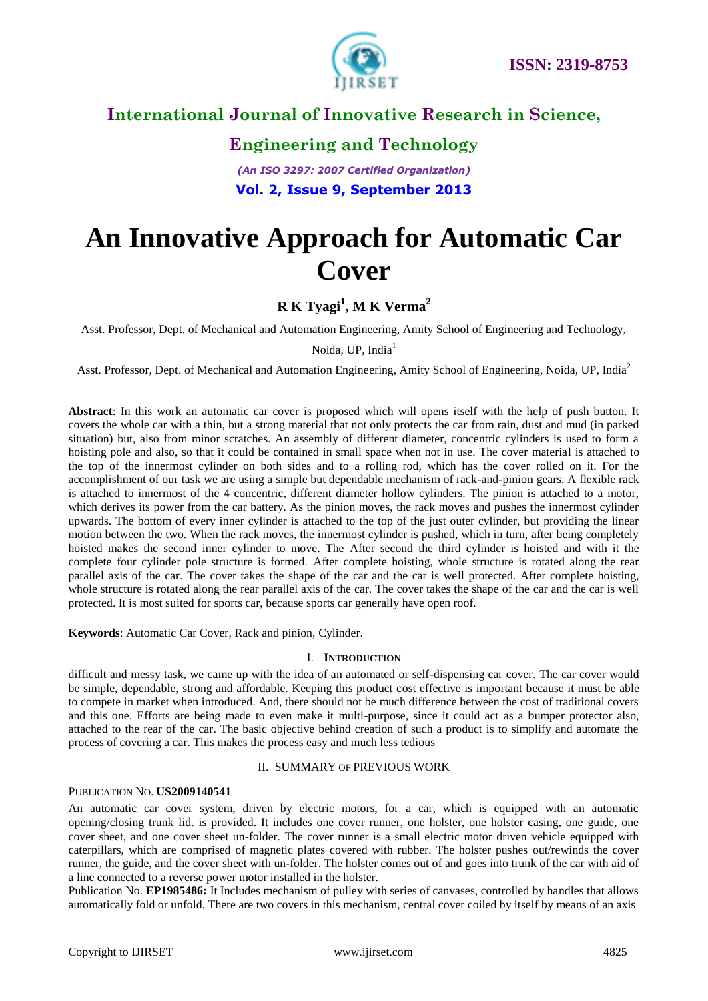

# **Engineering and Technology**

*(An ISO 3297: 2007 Certified Organization)* **Vol. 2, Issue 9, September 2013**

# **An Innovative Approach for Automatic Car Cover**

# **R K Tyagi<sup>1</sup> , M K Verma<sup>2</sup>**

Asst. Professor, Dept. of Mechanical and Automation Engineering, Amity School of Engineering and Technology,

Noida, UP, India<sup>1</sup>

Asst. Professor, Dept. of Mechanical and Automation Engineering, Amity School of Engineering, Noida, UP, India<sup>2</sup>

**Abstract**: In this work an automatic car cover is proposed which will opens itself with the help of push button. It covers the whole car with a thin, but a strong material that not only protects the car from rain, dust and mud (in parked situation) but, also from minor scratches. An assembly of different diameter, concentric cylinders is used to form a hoisting pole and also, so that it could be contained in small space when not in use. The cover material is attached to the top of the innermost cylinder on both sides and to a rolling rod, which has the cover rolled on it. For the accomplishment of our task we are using a simple but dependable mechanism of rack-and-pinion gears. A flexible rack is attached to innermost of the 4 concentric, different diameter hollow cylinders. The pinion is attached to a motor, which derives its power from the car battery. As the pinion moves, the rack moves and pushes the innermost cylinder upwards. The bottom of every inner cylinder is attached to the top of the just outer cylinder, but providing the linear motion between the two. When the rack moves, the innermost cylinder is pushed, which in turn, after being completely hoisted makes the second inner cylinder to move. The After second the third cylinder is hoisted and with it the complete four cylinder pole structure is formed. After complete hoisting, whole structure is rotated along the rear parallel axis of the car. The cover takes the shape of the car and the car is well protected. After complete hoisting, whole structure is rotated along the rear parallel axis of the car. The cover takes the shape of the car and the car is well protected. It is most suited for sports car, because sports car generally have open roof.

**Keywords**: Automatic Car Cover, Rack and pinion, Cylinder.

### I. **INTRODUCTION**

difficult and messy task, we came up with the idea of an automated or self-dispensing car cover. The car cover would be simple, dependable, strong and affordable. Keeping this product cost effective is important because it must be able to compete in market when introduced. And, there should not be much difference between the cost of traditional covers and this one. Efforts are being made to even make it multi-purpose, since it could act as a bumper protector also, attached to the rear of the car. The basic objective behind creation of such a product is to simplify and automate the process of covering a car. This makes the process easy and much less tedious

### II. SUMMARY OF PREVIOUS WORK

### PUBLICATION NO. **US2009140541**

An automatic car cover system, driven by electric motors, for a car, which is equipped with an automatic opening/closing trunk lid. is provided. It includes one cover runner, one holster, one holster casing, one guide, one cover sheet, and one cover sheet un-folder. The cover runner is a small electric motor driven vehicle equipped with caterpillars, which are comprised of magnetic plates covered with rubber. The holster pushes out/rewinds the cover runner, the guide, and the cover sheet with un-folder. The holster comes out of and goes into trunk of the car with aid of a line connected to a reverse power motor installed in the holster.

Publication No. **EP1985486:** It Includes mechanism of pulley with series of canvases, controlled by handles that allows automatically fold or unfold. There are two covers in this mechanism, central cover coiled by itself by means of an axis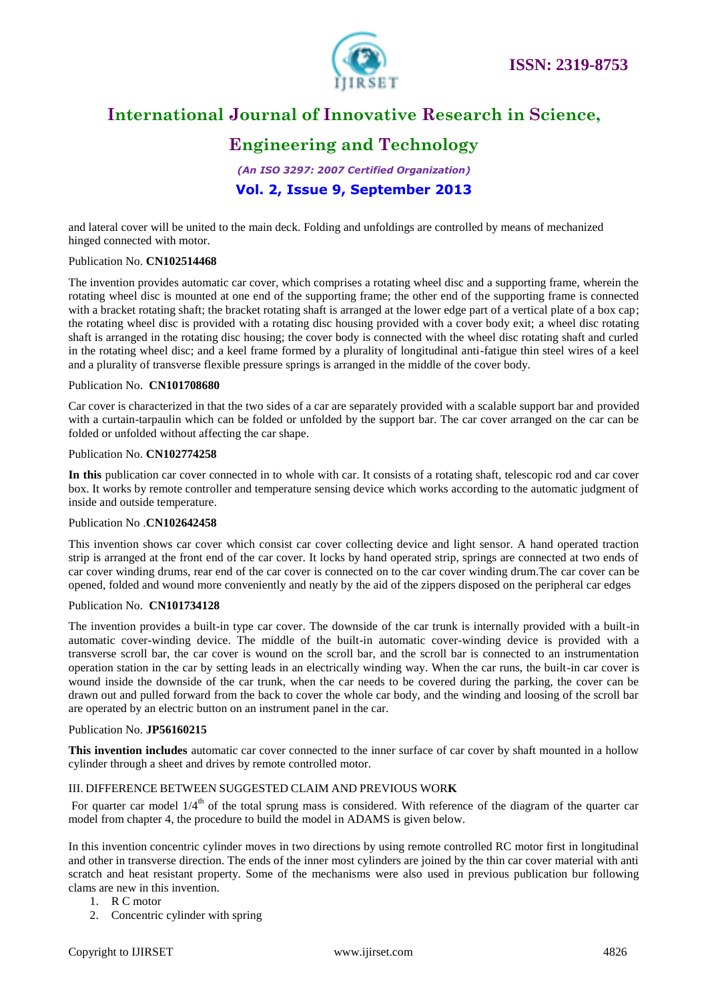

# **Engineering and Technology**

*(An ISO 3297: 2007 Certified Organization)* **Vol. 2, Issue 9, September 2013**

and lateral cover will be united to the main deck. Folding and unfoldings are controlled by means of mechanized hinged connected with motor.

### Publication No. **CN102514468**

The invention provides automatic car cover, which comprises a rotating wheel disc and a supporting frame, wherein the rotating wheel disc is mounted at one end of the supporting frame; the other end of the supporting frame is connected with a bracket rotating shaft; the bracket rotating shaft is arranged at the lower edge part of a vertical plate of a box cap; the rotating wheel disc is provided with a rotating disc housing provided with a cover body exit; a wheel disc rotating shaft is arranged in the rotating disc housing; the cover body is connected with the wheel disc rotating shaft and curled in the rotating wheel disc; and a keel frame formed by a plurality of longitudinal anti-fatigue thin steel wires of a keel and a plurality of transverse flexible pressure springs is arranged in the middle of the cover body.

### Publication No. **CN101708680**

Car cover is characterized in that the two sides of a car are separately provided with a scalable support bar and provided with a curtain-tarpaulin which can be folded or unfolded by the support bar. The car cover arranged on the car can be folded or unfolded without affecting the car shape.

### Publication No. **CN102774258**

**In this** publication car cover connected in to whole with car. It consists of a rotating shaft, telescopic rod and car cover box. It works by remote controller and temperature sensing device which works according to the automatic judgment of inside and outside temperature.

#### Publication No .**CN102642458**

This invention shows car cover which consist car cover collecting device and light sensor. A hand operated traction strip is arranged at the front end of the car cover. It locks by hand operated strip, springs are connected at two ends of car cover winding drums, rear end of the car cover is connected on to the car cover winding drum.The car cover can be opened, folded and wound more conveniently and neatly by the aid of the zippers disposed on the peripheral car edges

#### Publication No. **CN101734128**

The invention provides a built-in type car cover. The downside of the car trunk is internally provided with a built-in automatic cover-winding device. The middle of the built-in automatic cover-winding device is provided with a transverse scroll bar, the car cover is wound on the scroll bar, and the scroll bar is connected to an instrumentation operation station in the car by setting leads in an electrically winding way. When the car runs, the built-in car cover is wound inside the downside of the car trunk, when the car needs to be covered during the parking, the cover can be drawn out and pulled forward from the back to cover the whole car body, and the winding and loosing of the scroll bar are operated by an electric button on an instrument panel in the car.

#### Publication No. **JP56160215**

**This invention includes** automatic car cover connected to the inner surface of car cover by shaft mounted in a hollow cylinder through a sheet and drives by remote controlled motor.

### III. DIFFERENCE BETWEEN SUGGESTED CLAIM AND PREVIOUS WOR**K**

For quarter car model  $1/4<sup>th</sup>$  of the total sprung mass is considered. With reference of the diagram of the quarter car model from chapter 4, the procedure to build the model in ADAMS is given below.

In this invention concentric cylinder moves in two directions by using remote controlled RC motor first in longitudinal and other in transverse direction. The ends of the inner most cylinders are joined by the thin car cover material with anti scratch and heat resistant property. Some of the mechanisms were also used in previous publication bur following clams are new in this invention.

- 1. R C motor
- 2. Concentric cylinder with spring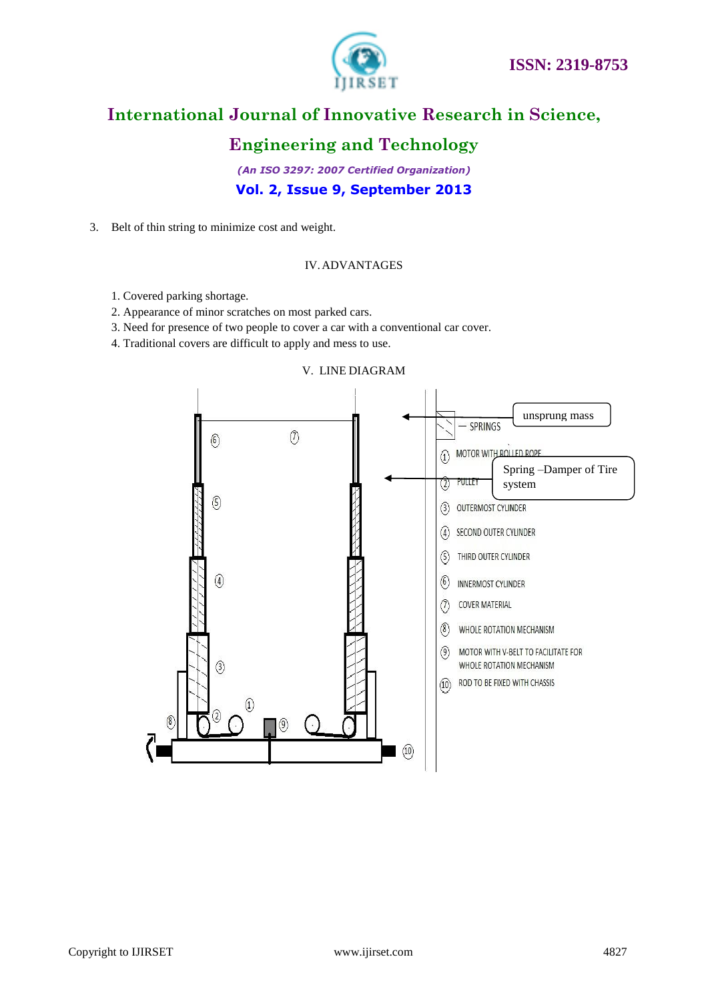

# **Engineering and Technology**

*(An ISO 3297: 2007 Certified Organization)* **Vol. 2, Issue 9, September 2013**

3. Belt of thin string to minimize cost and weight.

### IV.ADVANTAGES

- 1. Covered parking shortage.
- 2. Appearance of minor scratches on most parked cars.
- 3. Need for presence of two people to cover a car with a conventional car cover.
- 4. Traditional covers are difficult to apply and mess to use.



### V. LINE DIAGRAM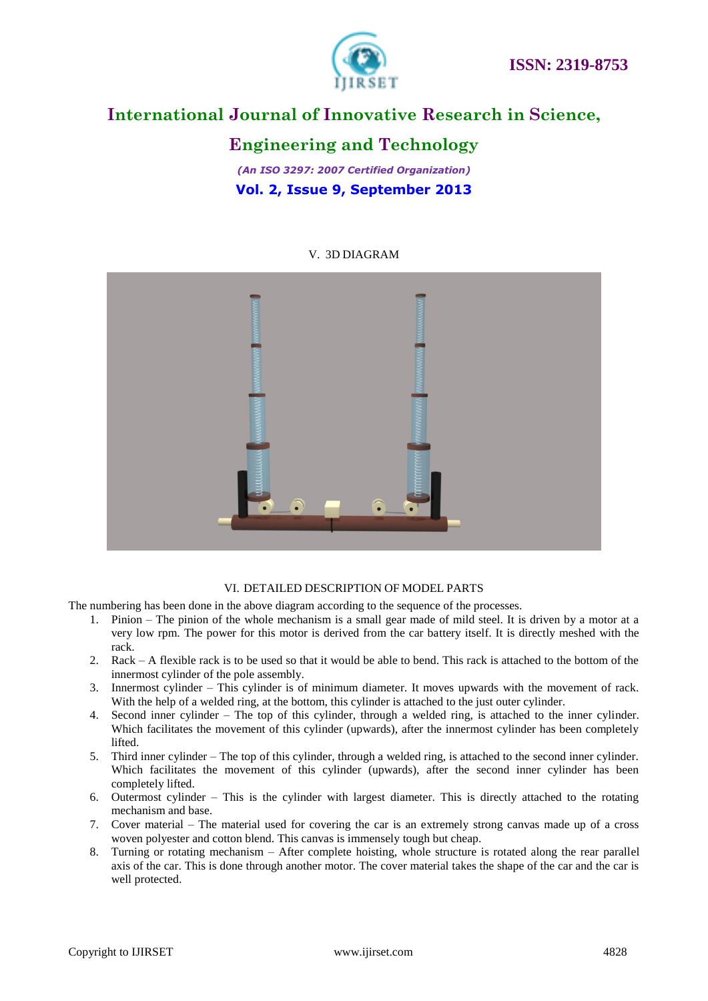

# **Engineering and Technology**

*(An ISO 3297: 2007 Certified Organization)* **Vol. 2, Issue 9, September 2013**

### V. 3D DIAGRAM



### VI. DETAILED DESCRIPTION OF MODEL PARTS

The numbering has been done in the above diagram according to the sequence of the processes.

- 1. Pinion The pinion of the whole mechanism is a small gear made of mild steel. It is driven by a motor at a very low rpm. The power for this motor is derived from the car battery itself. It is directly meshed with the rack.
- 2. Rack A flexible rack is to be used so that it would be able to bend. This rack is attached to the bottom of the innermost cylinder of the pole assembly.
- 3. Innermost cylinder This cylinder is of minimum diameter. It moves upwards with the movement of rack. With the help of a welded ring, at the bottom, this cylinder is attached to the just outer cylinder.
- 4. Second inner cylinder The top of this cylinder, through a welded ring, is attached to the inner cylinder. Which facilitates the movement of this cylinder (upwards), after the innermost cylinder has been completely lifted.
- 5. Third inner cylinder The top of this cylinder, through a welded ring, is attached to the second inner cylinder. Which facilitates the movement of this cylinder (upwards), after the second inner cylinder has been completely lifted.
- 6. Outermost cylinder This is the cylinder with largest diameter. This is directly attached to the rotating mechanism and base.
- 7. Cover material The material used for covering the car is an extremely strong canvas made up of a cross woven polyester and cotton blend. This canvas is immensely tough but cheap.
- 8. Turning or rotating mechanism After complete hoisting, whole structure is rotated along the rear parallel axis of the car. This is done through another motor. The cover material takes the shape of the car and the car is well protected.